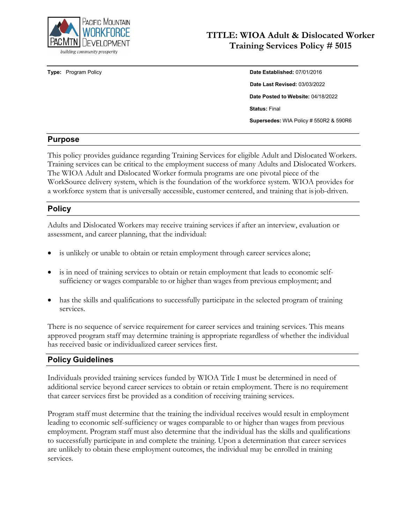

## **TITLE: WIOA Adult & Dislocated Worker Training Services Policy # 5015**

# **Type:** Program Policy **Date Established:** 07/01/2016 **Date Last Revised:** 03/03/2022 **Date Posted to Website:** 04/18/2022 **Status:** Final **Supersedes:** WIA Policy # 550R2 & 590R6

#### **Purpose**

This policy provides guidance regarding Training Services for eligible Adult and Dislocated Workers. Training services can be critical to the employment success of many Adults and Dislocated Workers. The WIOA Adult and Dislocated Worker formula programs are one pivotal piece of the WorkSource delivery system, which is the foundation of the workforce system. WIOA provides for a workforce system that is universally accessible, customer centered, and training that isjob-driven.

## **Policy**

Adults and Dislocated Workers may receive training services if after an interview, evaluation or assessment, and career planning, that the individual:

- is unlikely or unable to obtain or retain employment through career services alone;
- is in need of training services to obtain or retain employment that leads to economic selfsufficiency or wages comparable to or higher than wages from previous employment; and
- has the skills and qualifications to successfully participate in the selected program of training services.

There is no sequence of service requirement for career services and training services. This means approved program staff may determine training is appropriate regardless of whether the individual has received basic or individualized career services first.

## **Policy Guidelines**

Individuals provided training services funded by WIOA Title I must be determined in need of additional service beyond career services to obtain or retain employment. There is no requirement that career services first be provided as a condition of receiving training services.

Program staff must determine that the training the individual receives would result in employment leading to economic self-sufficiency or wages comparable to or higher than wages from previous employment. Program staff must also determine that the individual has the skills and qualifications to successfully participate in and complete the training. Upon a determination that career services are unlikely to obtain these employment outcomes, the individual may be enrolled in training services.